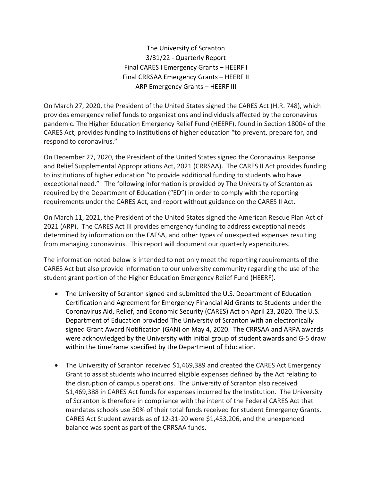The University of Scranton 3/31/22 - Quarterly Report Final CARES I Emergency Grants – HEERF I Final CRRSAA Emergency Grants – HEERF II ARP Emergency Grants – HEERF III

On March 27, 2020, the President of the United States signed the CARES Act (H.R. 748), which provides emergency relief funds to organizations and individuals affected by the coronavirus pandemic. The Higher Education Emergency Relief Fund (HEERF), found in Section 18004 of the CARES Act, provides funding to institutions of higher education "to prevent, prepare for, and respond to coronavirus."

On December 27, 2020, the President of the United States signed the Coronavirus Response and Relief Supplemental Appropriations Act, 2021 (CRRSAA). The CARES II Act provides funding to institutions of higher education "to provide additional funding to students who have exceptional need." The following information is provided by The University of Scranton as required by the Department of Education ("ED") in order to comply with the reporting requirements under the CARES Act, and report without guidance on the CARES II Act.

On March 11, 2021, the President of the United States signed the American Rescue Plan Act of 2021 (ARP). The CARES Act III provides emergency funding to address exceptional needs determined by information on the FAFSA, and other types of unexpected expenses resulting from managing coronavirus. This report will document our quarterly expenditures.

The information noted below is intended to not only meet the reporting requirements of the CARES Act but also provide information to our university community regarding the use of the student grant portion of the Higher Education Emergency Relief Fund (HEERF).

- The University of Scranton signed and submitted the U.S. Department of Education Certification and Agreement for Emergency Financial Aid Grants to Students under the Coronavirus Aid, Relief, and Economic Security (CARES) Act on April 23, 2020. The U.S. Department of Education provided The University of Scranton with an electronically signed Grant Award Notification (GAN) on May 4, 2020. The CRRSAA and ARPA awards were acknowledged by the University with initial group of student awards and G-5 draw within the timeframe specified by the Department of Education.
- The University of Scranton received \$1,469,389 and created the CARES Act Emergency Grant to assist students who incurred eligible expenses defined by the Act relating to the disruption of campus operations. The University of Scranton also received \$1,469,388 in CARES Act funds for expenses incurred by the Institution. The University of Scranton is therefore in compliance with the intent of the Federal CARES Act that mandates schools use 50% of their total funds received for student Emergency Grants. CARES Act Student awards as of 12-31-20 were \$1,453,206, and the unexpended balance was spent as part of the CRRSAA funds.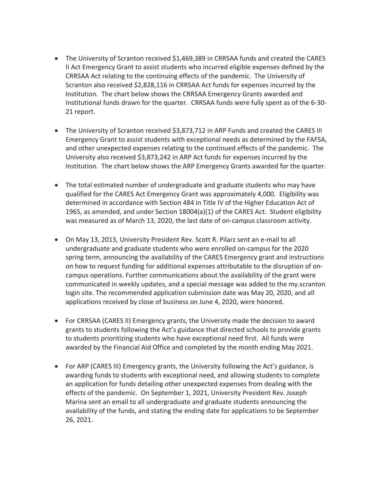- The University of Scranton received \$1,469,389 in CRRSAA funds and created the CARES II Act Emergency Grant to assist students who incurred eligible expenses defined by the CRRSAA Act relating to the continuing effects of the pandemic. The University of Scranton also received \$2,828,116 in CRRSAA Act funds for expenses incurred by the Institution. The chart below shows the CRRSAA Emergency Grants awarded and Institutional funds drawn for the quarter. CRRSAA funds were fully spent as of the 6-30- 21 report.
- The University of Scranton received \$3,873,712 in ARP Funds and created the CARES III Emergency Grant to assist students with exceptional needs as determined by the FAFSA, and other unexpected expenses relating to the continued effects of the pandemic. The University also received \$3,873,242 in ARP Act funds for expenses incurred by the Institution. The chart below shows the ARP Emergency Grants awarded for the quarter.
- The total estimated number of undergraduate and graduate students who may have qualified for the CARES Act Emergency Grant was approximately 4,000. Eligibility was determined in accordance with Section 484 in Title IV of the Higher Education Act of 1965, as amended, and under Section 18004(a)(1) of the CARES Act. Student eligibility was measured as of March 13, 2020, the last date of on-campus classroom activity.
- On May 13, 2013, University President Rev. Scott R. Pilarz sent an e-mail to all undergraduate and graduate students who were enrolled on-campus for the 2020 spring term, announcing the availability of the CARES Emergency grant and instructions on how to request funding for additional expenses attributable to the disruption of oncampus operations. Further communications about the availability of the grant were communicated in weekly updates, and a special message was added to the my.scranton login site. The recommended application submission date was May 20, 2020, and all applications received by close of business on June 4, 2020, were honored.
- For CRRSAA (CARES II) Emergency grants, the University made the decision to award grants to students following the Act's guidance that directed schools to provide grants to students prioritizing students who have exceptional need first. All funds were awarded by the Financial Aid Office and completed by the month ending May 2021.
- For ARP (CARES III) Emergency grants, the University following the Act's guidance, is awarding funds to students with exceptional need, and allowing students to complete an application for funds detailing other unexpected expenses from dealing with the effects of the pandemic. On September 1, 2021, University President Rev. Joseph Marina sent an email to all undergraduate and graduate students announcing the availability of the funds, and stating the ending date for applications to be September 26, 2021.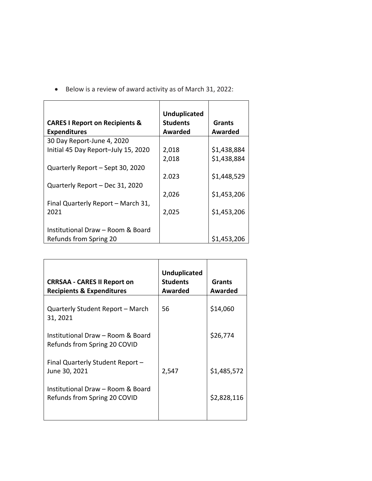| Below is a review of award activity as of March 31, 2022: |  |  |  |
|-----------------------------------------------------------|--|--|--|
|                                                           |  |  |  |

| <b>CARES I Report on Recipients &amp;</b><br><b>Expenditures</b> | <b>Unduplicated</b><br><b>Students</b><br><b>Awarded</b> | <b>Grants</b><br>Awarded |
|------------------------------------------------------------------|----------------------------------------------------------|--------------------------|
| 30 Day Report-June 4, 2020                                       |                                                          |                          |
| Initial 45 Day Report-July 15, 2020                              | 2,018                                                    | \$1,438,884              |
|                                                                  | 2,018                                                    | \$1,438,884              |
| Quarterly Report - Sept 30, 2020                                 |                                                          |                          |
|                                                                  | 2.023                                                    | \$1,448,529              |
| Quarterly Report - Dec 31, 2020                                  |                                                          |                          |
|                                                                  | 2,026                                                    | \$1,453,206              |
| Final Quarterly Report - March 31,                               |                                                          |                          |
| 2021                                                             | 2,025                                                    | \$1,453,206              |
|                                                                  |                                                          |                          |
| Institutional Draw - Room & Board                                |                                                          |                          |
| Refunds from Spring 20                                           |                                                          | \$1,453,206              |

| <b>CRRSAA - CARES II Report on</b><br><b>Recipients &amp; Expenditures</b> | <b>Unduplicated</b><br><b>Students</b><br><b>Awarded</b> | Grants<br>Awarded |
|----------------------------------------------------------------------------|----------------------------------------------------------|-------------------|
| Quarterly Student Report - March<br>31, 2021                               | 56                                                       | \$14,060          |
| Institutional Draw - Room & Board<br>Refunds from Spring 20 COVID          |                                                          | \$26,774          |
| Final Quarterly Student Report -<br>June 30, 2021                          | 2,547                                                    | \$1,485,572       |
| Institutional Draw - Room & Board<br>Refunds from Spring 20 COVID          |                                                          | \$2,828,116       |
|                                                                            |                                                          |                   |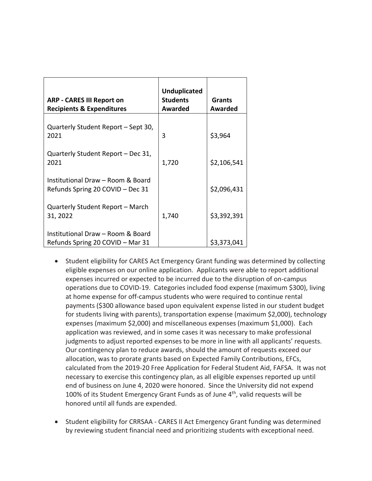| <b>ARP - CARES III Report on</b><br><b>Recipients &amp; Expenditures</b> | <b>Unduplicated</b><br><b>Students</b><br>Awarded | <b>Grants</b><br><b>Awarded</b> |
|--------------------------------------------------------------------------|---------------------------------------------------|---------------------------------|
| Quarterly Student Report – Sept 30,<br>2021                              | 3                                                 | \$3,964                         |
| Quarterly Student Report - Dec 31,<br>2021                               | 1,720                                             | \$2,106,541                     |
| Institutional Draw - Room & Board<br>Refunds Spring 20 COVID - Dec 31    |                                                   | \$2,096,431                     |
| Quarterly Student Report - March<br>31, 2022                             | 1,740                                             | \$3,392,391                     |
| Institutional Draw - Room & Board<br>Refunds Spring 20 COVID - Mar 31    |                                                   | \$3,373,041                     |

- Student eligibility for CARES Act Emergency Grant funding was determined by collecting eligible expenses on our online application. Applicants were able to report additional expenses incurred or expected to be incurred due to the disruption of on-campus operations due to COVID-19. Categories included food expense (maximum \$300), living at home expense for off-campus students who were required to continue rental payments (\$300 allowance based upon equivalent expense listed in our student budget for students living with parents), transportation expense (maximum \$2,000), technology expenses (maximum \$2,000) and miscellaneous expenses (maximum \$1,000). Each application was reviewed, and in some cases it was necessary to make professional judgments to adjust reported expenses to be more in line with all applicants' requests. Our contingency plan to reduce awards, should the amount of requests exceed our allocation, was to prorate grants based on Expected Family Contributions, EFCs, calculated from the 2019-20 Free Application for Federal Student Aid, FAFSA. It was not necessary to exercise this contingency plan, as all eligible expenses reported up until end of business on June 4, 2020 were honored. Since the University did not expend 100% of its Student Emergency Grant Funds as of June  $4<sup>th</sup>$ , valid requests will be honored until all funds are expended.
- Student eligibility for CRRSAA CARES II Act Emergency Grant funding was determined by reviewing student financial need and prioritizing students with exceptional need.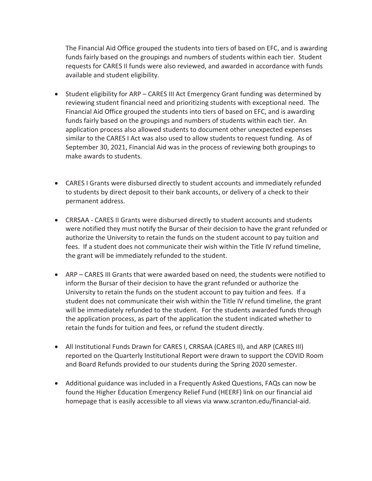The Financial Aid Office grouped the students into tiers of based on EFC, and is awarding funds fairly based on the groupings and numbers of students within each tier. Student requests for CARES II funds were also reviewed, and awarded in accordance with funds available and student eligibility.

- Student eligibility for ARP CARES III Act Emergency Grant funding was determined by reviewing student financial need and prioritizing students with exceptional need. The Financial Aid Office grouped the students into tiers of based on EFC, and is awarding funds fairly based on the groupings and numbers of students within each tier. An application process also allowed students to document other unexpected expenses similar to the CARES I Act was also used to allow students to request funding. As of September 30, 2021, Financial Aid was in the process of reviewing both groupings to make awards to students.
- CARES I Grants were disbursed directly to student accounts and immediately refunded to students by direct deposit to their bank accounts, or delivery of a check to their permanent address.
- CRRSAA CARES II Grants were disbursed directly to student accounts and students were notified they must notify the Bursar of their decision to have the grant refunded or authorize the University to retain the funds on the student account to pay tuition and fees. If a student does not communicate their wish within the Title IV refund timeline, the grant will be immediately refunded to the student.
- ARP CARES III Grants that were awarded based on need, the students were notified to inform the Bursar of their decision to have the grant refunded or authorize the University to retain the funds on the student account to pay tuition and fees. If a student does not communicate their wish within the Title IV refund timeline, the grant will be immediately refunded to the student. For the students awarded funds through the application process, as part of the application the student indicated whether to retain the funds for tuition and fees, or refund the student directly.
- All Institutional Funds Drawn for CARES I, CRRSAA (CARES II), and ARP (CARES III) reported on the Quarterly Institutional Report were drawn to support the COVID Room and Board Refunds provided to our students during the Spring 2020 semester.
- Additional guidance was included in a Frequently Asked Questions, FAQs can now be found the Higher Education Emergency Relief Fund (HEERF) link on our financial aid homepage that is easily accessible to all views via www.scranton.edu/financial-aid.